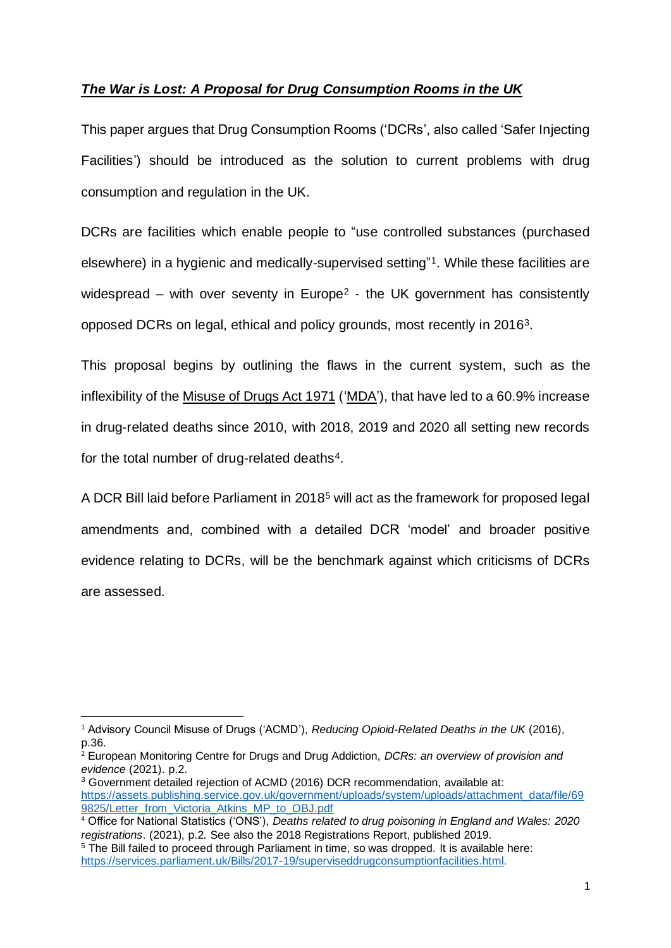# *The War is Lost: A Proposal for Drug Consumption Rooms in the UK*

This paper argues that Drug Consumption Rooms ('DCRs', also called 'Safer Injecting Facilities') should be introduced as the solution to current problems with drug consumption and regulation in the UK.

DCRs are facilities which enable people to "use controlled substances (purchased elsewhere) in a hygienic and medically-supervised setting" 1 . While these facilities are widespread – with over seventy in Europe<sup>2</sup> - the UK government has consistently opposed DCRs on legal, ethical and policy grounds, most recently in 2016<sup>3</sup>.

This proposal begins by outlining the flaws in the current system, such as the inflexibility of the Misuse of Drugs Act 1971 ('MDA'), that have led to a 60.9% increase in drug-related deaths since 2010, with 2018, 2019 and 2020 all setting new records for the total number of drug-related deaths<sup>4</sup>.

A DCR Bill laid before Parliament in 2018<sup>5</sup> will act as the framework for proposed legal amendments and, combined with a detailed DCR 'model' and broader positive evidence relating to DCRs, will be the benchmark against which criticisms of DCRs are assessed.

<sup>1</sup> Advisory Council Misuse of Drugs ('ACMD'), *Reducing Opioid-Related Deaths in the UK* (2016), p.36.

<sup>2</sup> European Monitoring Centre for Drugs and Drug Addiction, *DCRs: an overview of provision and evidence* (2021). p.2.

<sup>&</sup>lt;sup>3</sup> Government detailed rejection of ACMD (2016) DCR recommendation, available at: [https://assets.publishing.service.gov.uk/government/uploads/system/uploads/attachment\\_data/file/69](https://assets.publishing.service.gov.uk/government/uploads/system/uploads/attachment_data/file/699825/Letter_from_Victoria_Atkins_MP_to_OBJ.pdf) [9825/Letter\\_from\\_Victoria\\_Atkins\\_MP\\_to\\_OBJ.pdf](https://assets.publishing.service.gov.uk/government/uploads/system/uploads/attachment_data/file/699825/Letter_from_Victoria_Atkins_MP_to_OBJ.pdf)

<sup>4</sup> Office for National Statistics ('ONS'), *Deaths related to drug poisoning in England and Wales: 2020 registrations*. (2021), p.2. See also the 2018 Registrations Report, published 2019.

<sup>&</sup>lt;sup>5</sup> The Bill failed to proceed through Parliament in time, so was dropped. It is available here: [https://services.parliament.uk/Bills/2017-19/superviseddrugconsumptionfacilities.html.](https://services.parliament.uk/Bills/2017-19/superviseddrugconsumptionfacilities.html)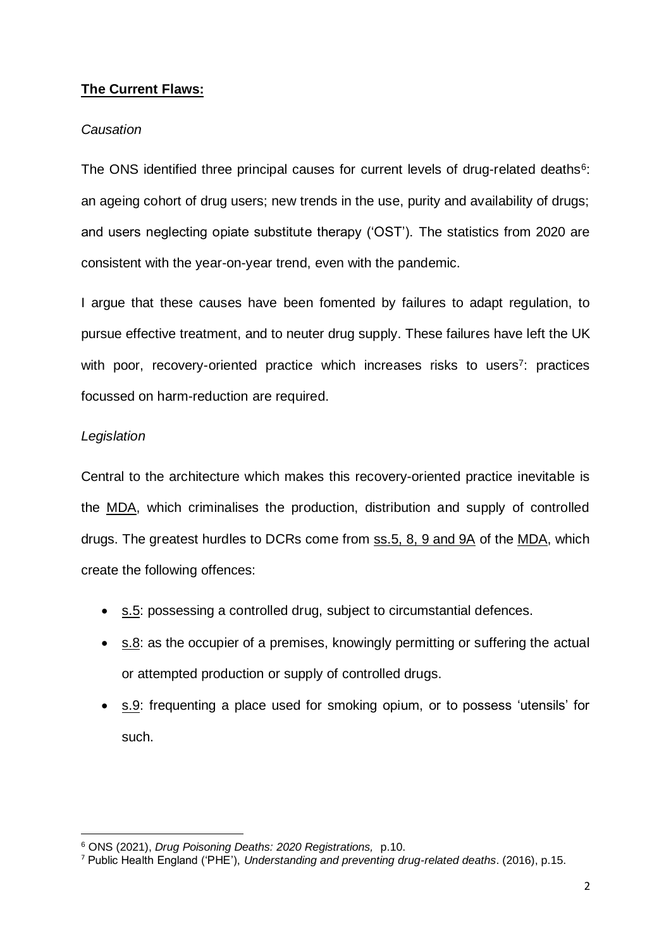# **The Current Flaws:**

# *Causation*

The ONS identified three principal causes for current levels of drug-related deaths<sup>6</sup>: an ageing cohort of drug users; new trends in the use, purity and availability of drugs; and users neglecting opiate substitute therapy ('OST'). The statistics from 2020 are consistent with the year-on-year trend, even with the pandemic.

I argue that these causes have been fomented by failures to adapt regulation, to pursue effective treatment, and to neuter drug supply. These failures have left the UK with poor, recovery-oriented practice which increases risks to users<sup>7</sup>: practices focussed on harm-reduction are required.

# *Legislation*

Central to the architecture which makes this recovery-oriented practice inevitable is the MDA, which criminalises the production, distribution and supply of controlled drugs. The greatest hurdles to DCRs come from ss.5, 8, 9 and 9A of the MDA, which create the following offences:

- s.5: possessing a controlled drug, subject to circumstantial defences.
- s.8: as the occupier of a premises, knowingly permitting or suffering the actual or attempted production or supply of controlled drugs.
- s.9: frequenting a place used for smoking opium, or to possess 'utensils' for such.

<sup>6</sup> ONS (2021), *Drug Poisoning Deaths: 2020 Registrations,* p.10.

<sup>7</sup> Public Health England ('PHE'), *Understanding and preventing drug-related deaths*. (2016), p.15.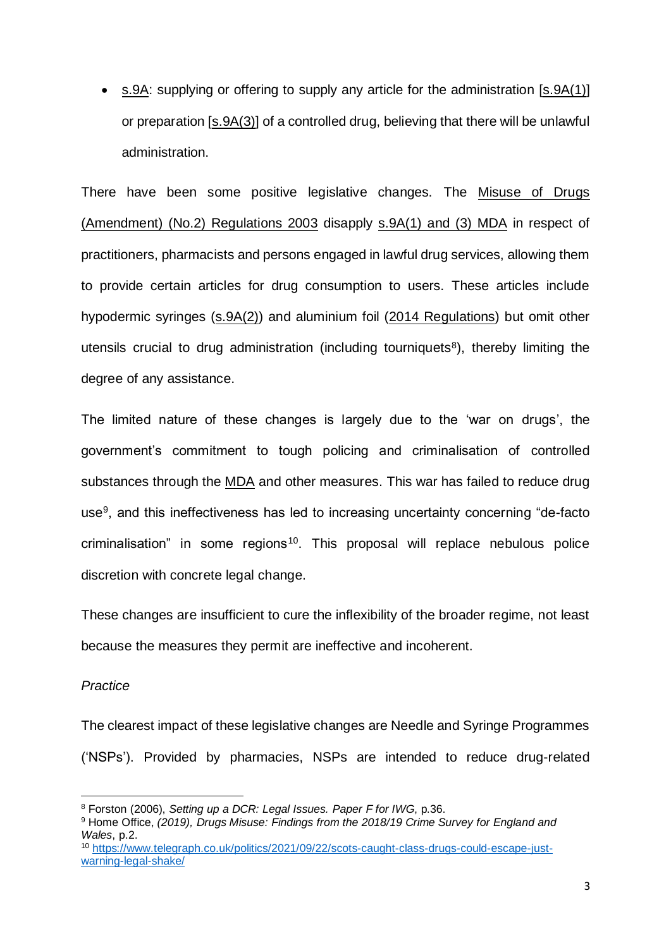• s.9A: supplying or offering to supply any article for the administration [s.9A(1)] or preparation [s.9A(3)] of a controlled drug, believing that there will be unlawful administration.

There have been some positive legislative changes. The Misuse of Drugs (Amendment) (No.2) Regulations 2003 disapply s.9A(1) and (3) MDA in respect of practitioners, pharmacists and persons engaged in lawful drug services, allowing them to provide certain articles for drug consumption to users. These articles include hypodermic syringes (s.9A(2)) and aluminium foil (2014 Regulations) but omit other utensils crucial to drug administration (including tourniquets<sup>8</sup>), thereby limiting the degree of any assistance.

The limited nature of these changes is largely due to the 'war on drugs', the government's commitment to tough policing and criminalisation of controlled substances through the MDA and other measures. This war has failed to reduce drug use<sup>9</sup>, and this ineffectiveness has led to increasing uncertainty concerning "de-facto criminalisation" in some regions<sup>10</sup>. This proposal will replace nebulous police discretion with concrete legal change.

These changes are insufficient to cure the inflexibility of the broader regime, not least because the measures they permit are ineffective and incoherent.

### *Practice*

The clearest impact of these legislative changes are Needle and Syringe Programmes ('NSPs'). Provided by pharmacies, NSPs are intended to reduce drug-related

<sup>8</sup> Forston (2006), *Setting up a DCR: Legal Issues. Paper F for IWG*, p.36.

<sup>9</sup> Home Office, *(2019), Drugs Misuse: Findings from the 2018/19 Crime Survey for England and Wales*, p.2.

<sup>10</sup> [https://www.telegraph.co.uk/politics/2021/09/22/scots-caught-class-drugs-could-escape-just](https://www.telegraph.co.uk/politics/2021/09/22/scots-caught-class-drugs-could-escape-just-warning-legal-shake/)[warning-legal-shake/](https://www.telegraph.co.uk/politics/2021/09/22/scots-caught-class-drugs-could-escape-just-warning-legal-shake/)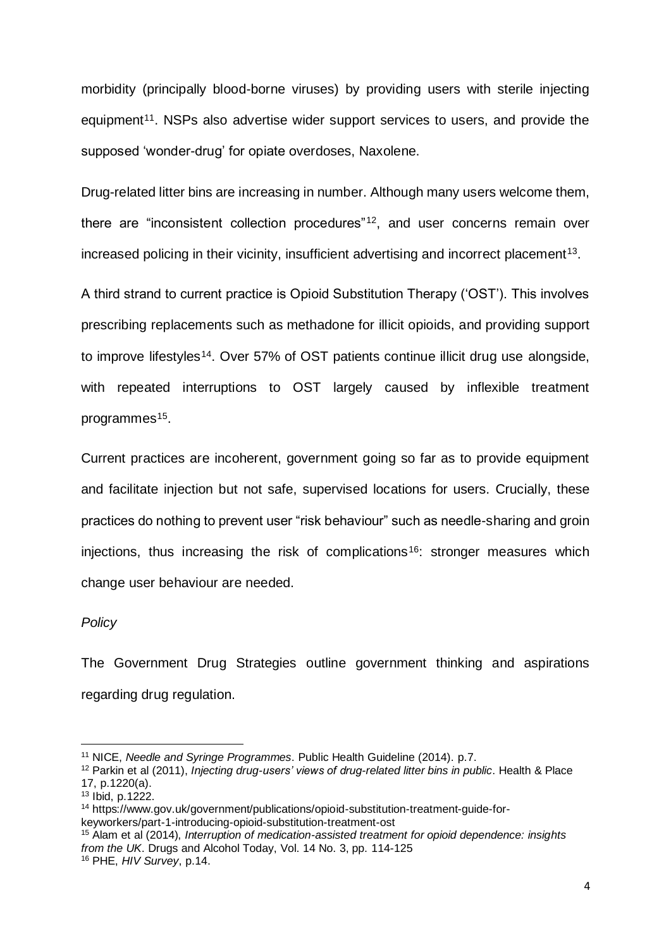morbidity (principally blood-borne viruses) by providing users with sterile injecting equipment<sup>11</sup>. NSPs also advertise wider support services to users, and provide the supposed 'wonder-drug' for opiate overdoses, Naxolene.

Drug-related litter bins are increasing in number. Although many users welcome them, there are "inconsistent collection procedures"<sup>12</sup>, and user concerns remain over increased policing in their vicinity, insufficient advertising and incorrect placement<sup>13</sup>.

A third strand to current practice is Opioid Substitution Therapy ('OST'). This involves prescribing replacements such as methadone for illicit opioids, and providing support to improve lifestyles<sup>14</sup>. Over 57% of OST patients continue illicit drug use alongside, with repeated interruptions to OST largely caused by inflexible treatment programmes<sup>15</sup>.

Current practices are incoherent, government going so far as to provide equipment and facilitate injection but not safe, supervised locations for users. Crucially, these practices do nothing to prevent user "risk behaviour" such as needle-sharing and groin injections, thus increasing the risk of complications<sup>16</sup>: stronger measures which change user behaviour are needed.

### *Policy*

The Government Drug Strategies outline government thinking and aspirations regarding drug regulation.

<sup>11</sup> NICE, *Needle and Syringe Programmes*. Public Health Guideline (2014). p.7.

<sup>12</sup> Parkin et al (2011), *Injecting drug-users' views of drug-related litter bins in public*. Health & Place 17, p.1220(a).

 $13$  Ibid, p.1222.

<sup>14</sup> https://www.gov.uk/government/publications/opioid-substitution-treatment-guide-forkeyworkers/part-1-introducing-opioid-substitution-treatment-ost

<sup>15</sup> Alam et al (2014), *Interruption of medication-assisted treatment for opioid dependence: insights from the UK*. Drugs and Alcohol Today, Vol. 14 No. 3, pp. 114-125

<sup>16</sup> PHE, *HIV Survey*, p.14.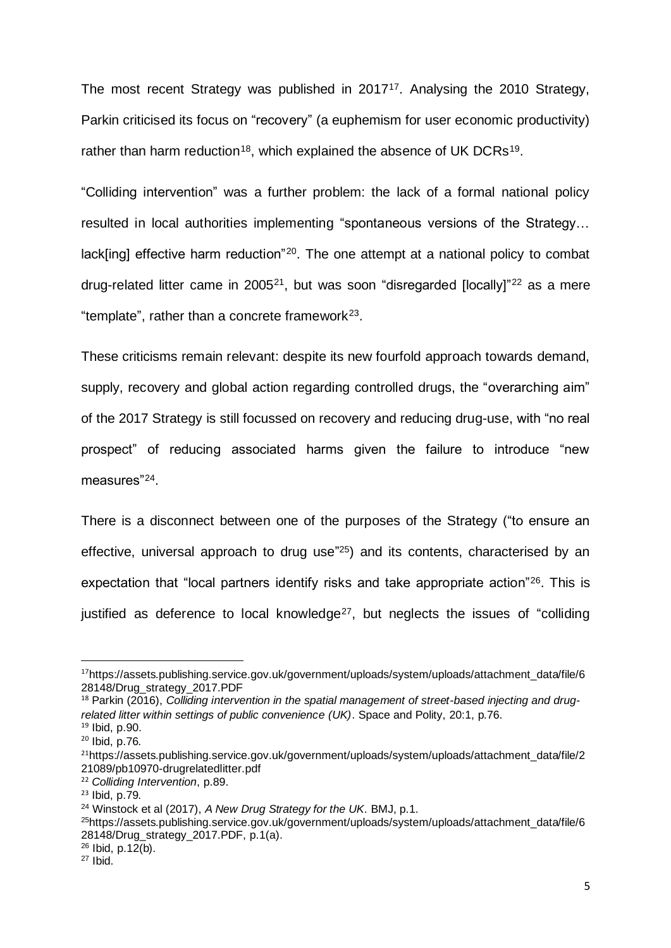The most recent Strategy was published in 2017<sup>17</sup>. Analysing the 2010 Strategy, Parkin criticised its focus on "recovery" (a euphemism for user economic productivity) rather than harm reduction<sup>18</sup>, which explained the absence of UK DCRs<sup>19</sup>.

"Colliding intervention" was a further problem: the lack of a formal national policy resulted in local authorities implementing "spontaneous versions of the Strategy… lack[ing] effective harm reduction"<sup>20</sup>. The one attempt at a national policy to combat drug-related litter came in 2005<sup>21</sup>, but was soon "disregarded [locally]"<sup>22</sup> as a mere "template", rather than a concrete framework $23$ .

These criticisms remain relevant: despite its new fourfold approach towards demand, supply, recovery and global action regarding controlled drugs, the "overarching aim" of the 2017 Strategy is still focussed on recovery and reducing drug-use, with "no real prospect" of reducing associated harms given the failure to introduce "new measures"<sup>24</sup>.

There is a disconnect between one of the purposes of the Strategy ("to ensure an effective, universal approach to drug use<sup>"25</sup>) and its contents, characterised by an expectation that "local partners identify risks and take appropriate action"<sup>26</sup>. This is justified as deference to local knowledge<sup>27</sup>, but neglects the issues of "colliding

<sup>&</sup>lt;sup>17</sup>https://assets.publishing.service.gov.uk/government/uploads/system/uploads/attachment\_data/file/6 28148/Drug\_strategy\_2017.PDF

<sup>&</sup>lt;sup>18</sup> Parkin (2016), *Colliding intervention in the spatial management of street-based injecting and drugrelated litter within settings of public convenience (UK)*. Space and Polity, 20:1, p.76.  $19$  Ibid, p.90.

<sup>20</sup> Ibid, p.76.

<sup>&</sup>lt;sup>21</sup>https://assets.publishing.service.gov.uk/government/uploads/system/uploads/attachment\_data/file/2 21089/pb10970-drugrelatedlitter.pdf

<sup>22</sup> *Colliding Intervention*, p.89.

<sup>23</sup> Ibid, p.79.

<sup>24</sup> Winstock et al (2017), *A New Drug Strategy for the UK*. BMJ, p.1.

<sup>&</sup>lt;sup>25</sup>https://assets.publishing.service.gov.uk/government/uploads/system/uploads/attachment\_data/file/6 28148/Drug\_strategy\_2017.PDF, p.1(a).

<sup>26</sup> Ibid, p.12(b).

 $27$  Ibid.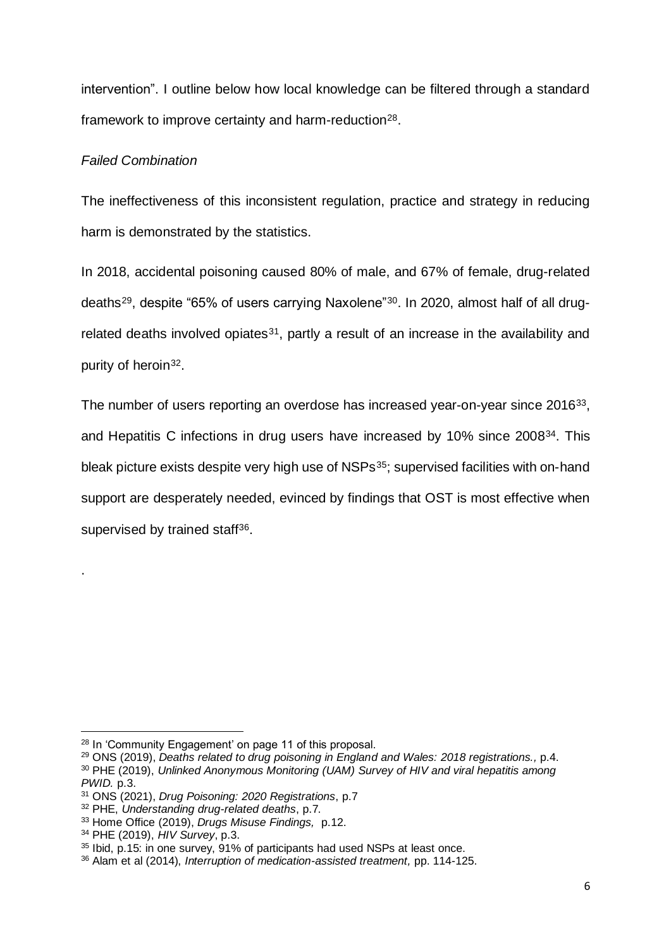intervention". I outline below how local knowledge can be filtered through a standard framework to improve certainty and harm-reduction<sup>28</sup>.

# *Failed Combination*

The ineffectiveness of this inconsistent regulation, practice and strategy in reducing harm is demonstrated by the statistics.

In 2018, accidental poisoning caused 80% of male, and 67% of female, drug-related deaths<sup>29</sup>, despite "65% of users carrying Naxolene"<sup>30</sup>. In 2020, almost half of all drugrelated deaths involved opiates $31$ , partly a result of an increase in the availability and purity of heroin<sup>32</sup>.

The number of users reporting an overdose has increased year-on-year since 2016<sup>33</sup>, and Hepatitis C infections in drug users have increased by 10% since 2008<sup>34</sup>. This bleak picture exists despite very high use of NSPs<sup>35</sup>; supervised facilities with on-hand support are desperately needed, evinced by findings that OST is most effective when supervised by trained staff<sup>36</sup>.

.

<sup>28</sup> In 'Community Engagement' on page 11 of this proposal.

<sup>29</sup> ONS (2019), *Deaths related to drug poisoning in England and Wales: 2018 registrations.,* p.4. <sup>30</sup> PHE (2019), *Unlinked Anonymous Monitoring (UAM) Survey of HIV and viral hepatitis among PWID.* p.3.

<sup>31</sup> ONS (2021), *Drug Poisoning: 2020 Registrations*, p.7

<sup>32</sup> PHE, *Understanding drug-related deaths*, p.7.

<sup>33</sup> Home Office (2019), *Drugs Misuse Findings,* p.12.

<sup>34</sup> PHE (2019), *HIV Survey*, p.3.

<sup>&</sup>lt;sup>35</sup> Ibid, p.15: in one survey, 91% of participants had used NSPs at least once.

<sup>36</sup> Alam et al (2014), *Interruption of medication-assisted treatment,* pp. 114-125.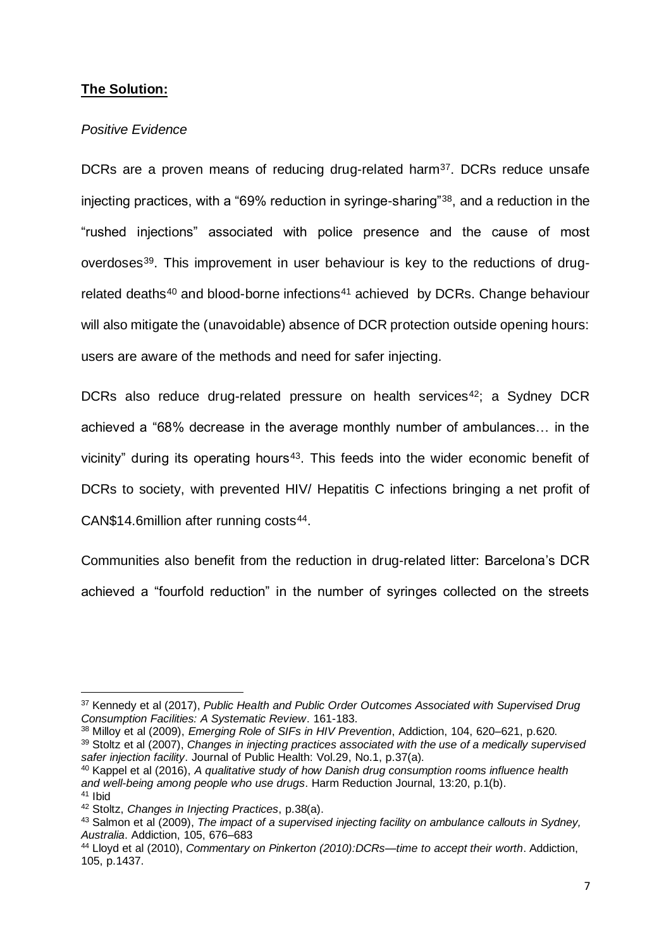# **The Solution:**

### *Positive Evidence*

DCRs are a proven means of reducing drug-related harm<sup>37</sup>. DCRs reduce unsafe injecting practices, with a "69% reduction in syringe-sharing"<sup>38</sup>, and a reduction in the "rushed injections" associated with police presence and the cause of most overdoses<sup>39</sup>. This improvement in user behaviour is key to the reductions of drugrelated deaths<sup>40</sup> and blood-borne infections<sup>41</sup> achieved by DCRs. Change behaviour will also mitigate the (unavoidable) absence of DCR protection outside opening hours: users are aware of the methods and need for safer injecting.

DCRs also reduce drug-related pressure on health services<sup>42</sup>; a Sydney DCR achieved a "68% decrease in the average monthly number of ambulances… in the vicinity" during its operating hours<sup>43</sup>. This feeds into the wider economic benefit of DCRs to society, with prevented HIV/ Hepatitis C infections bringing a net profit of CAN\$14.6million after running costs<sup>44</sup>.

Communities also benefit from the reduction in drug-related litter: Barcelona's DCR achieved a "fourfold reduction" in the number of syringes collected on the streets

<sup>37</sup> Kennedy et al (2017), *Public Health and Public Order Outcomes Associated with Supervised Drug Consumption Facilities: A Systematic Review*. 161-183.

<sup>38</sup> Milloy et al (2009), *Emerging Role of SIFs in HIV Prevention*, Addiction, 104, 620–621, p.620.

<sup>39</sup> Stoltz et al (2007), *Changes in injecting practices associated with the use of a medically supervised safer injection facility*. Journal of Public Health: Vol.29, No.1, p.37(a).

<sup>40</sup> Kappel et al (2016), *A qualitative study of how Danish drug consumption rooms influence health and well-being among people who use drugs*. Harm Reduction Journal, 13:20, p.1(b). <sup>41</sup> Ibid

<sup>42</sup> Stoltz, *Changes in Injecting Practices*, p.38(a).

<sup>43</sup> Salmon et al (2009), *The impact of a supervised injecting facility on ambulance callouts in Sydney, Australia*. Addiction, 105, 676–683

<sup>44</sup> Lloyd et al (2010), *Commentary on Pinkerton (2010):DCRs—time to accept their worth*. Addiction, 105, p.1437.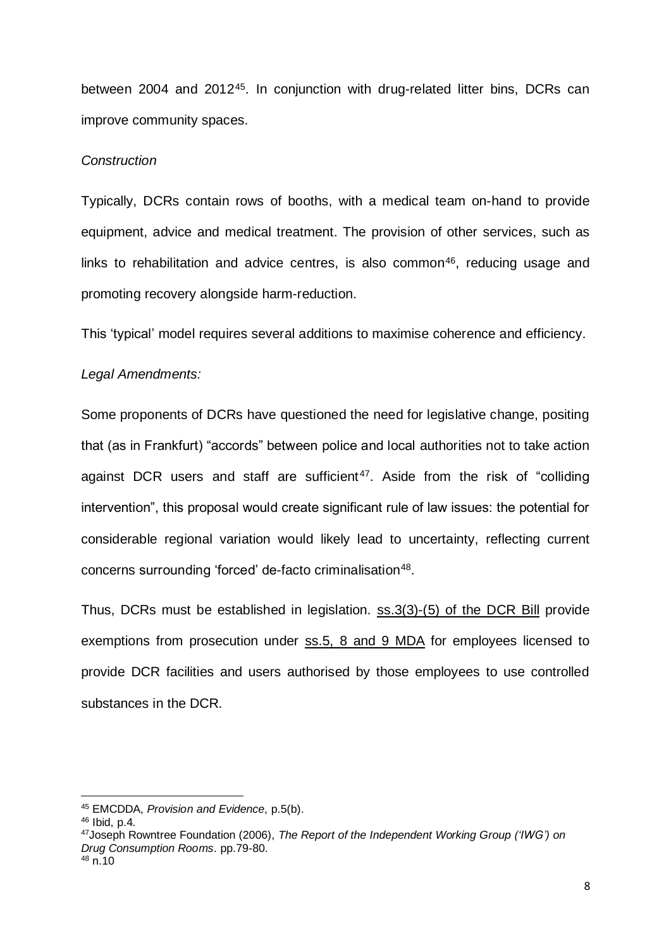between 2004 and 2012<sup>45</sup>. In conjunction with drug-related litter bins, DCRs can improve community spaces.

### *Construction*

Typically, DCRs contain rows of booths, with a medical team on-hand to provide equipment, advice and medical treatment. The provision of other services, such as links to rehabilitation and advice centres, is also common<sup>46</sup>, reducing usage and promoting recovery alongside harm-reduction.

This 'typical' model requires several additions to maximise coherence and efficiency.

#### *Legal Amendments:*

Some proponents of DCRs have questioned the need for legislative change, positing that (as in Frankfurt) "accords" between police and local authorities not to take action against DCR users and staff are sufficient<sup>47</sup>. Aside from the risk of "colliding intervention", this proposal would create significant rule of law issues: the potential for considerable regional variation would likely lead to uncertainty, reflecting current concerns surrounding 'forced' de-facto criminalisation<sup>48</sup>.

Thus, DCRs must be established in legislation. ss.3(3)-(5) of the DCR Bill provide exemptions from prosecution under ss.5, 8 and 9 MDA for employees licensed to provide DCR facilities and users authorised by those employees to use controlled substances in the DCR.

<sup>45</sup> EMCDDA, *Provision and Evidence*, p.5(b).

 $46$  Ibid, n.4.

<sup>47</sup>Joseph Rowntree Foundation (2006), *The Report of the Independent Working Group ('IWG') on Drug Consumption Rooms*. pp.79-80.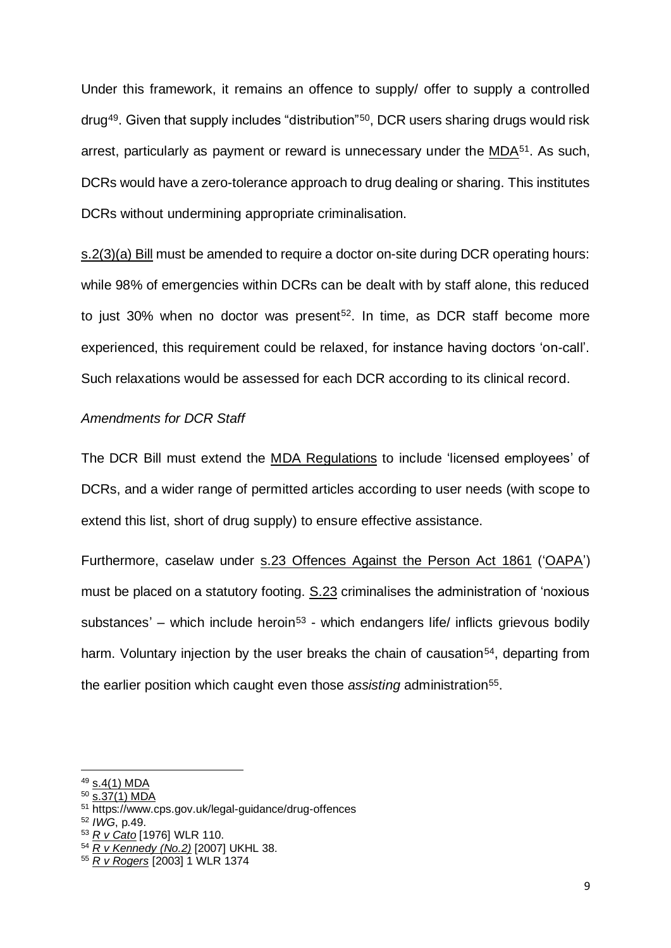Under this framework, it remains an offence to supply/ offer to supply a controlled drug<sup>49</sup> . Given that supply includes "distribution"<sup>50</sup> , DCR users sharing drugs would risk arrest, particularly as payment or reward is unnecessary under the  $MDA<sup>51</sup>$ . As such, DCRs would have a zero-tolerance approach to drug dealing or sharing. This institutes DCRs without undermining appropriate criminalisation.

s.2(3)(a) Bill must be amended to require a doctor on-site during DCR operating hours: while 98% of emergencies within DCRs can be dealt with by staff alone, this reduced to just 30% when no doctor was present<sup>52</sup>. In time, as DCR staff become more experienced, this requirement could be relaxed, for instance having doctors 'on-call'. Such relaxations would be assessed for each DCR according to its clinical record.

### *Amendments for DCR Staff*

The DCR Bill must extend the MDA Regulations to include 'licensed employees' of DCRs, and a wider range of permitted articles according to user needs (with scope to extend this list, short of drug supply) to ensure effective assistance.

Furthermore, caselaw under s.23 Offences Against the Person Act 1861 ('OAPA') must be placed on a statutory footing. S.23 criminalises the administration of 'noxious substances' – which include heroin<sup>53</sup> - which endangers life/ inflicts grievous bodily harm. Voluntary injection by the user breaks the chain of causation<sup>54</sup>, departing from the earlier position which caught even those assisting administration<sup>55</sup>.

<sup>49</sup> s.4(1) MDA

<sup>50</sup> s.37(1) MDA

<sup>51</sup> https://www.cps.gov.uk/legal-guidance/drug-offences

<sup>52</sup> *IWG*, p.49.

<sup>53</sup> *R v Cato* [1976] WLR 110.

<sup>54</sup> *R v Kennedy (No.2)* [2007] UKHL 38.

<sup>55</sup> *R v Rogers* [2003] 1 WLR 1374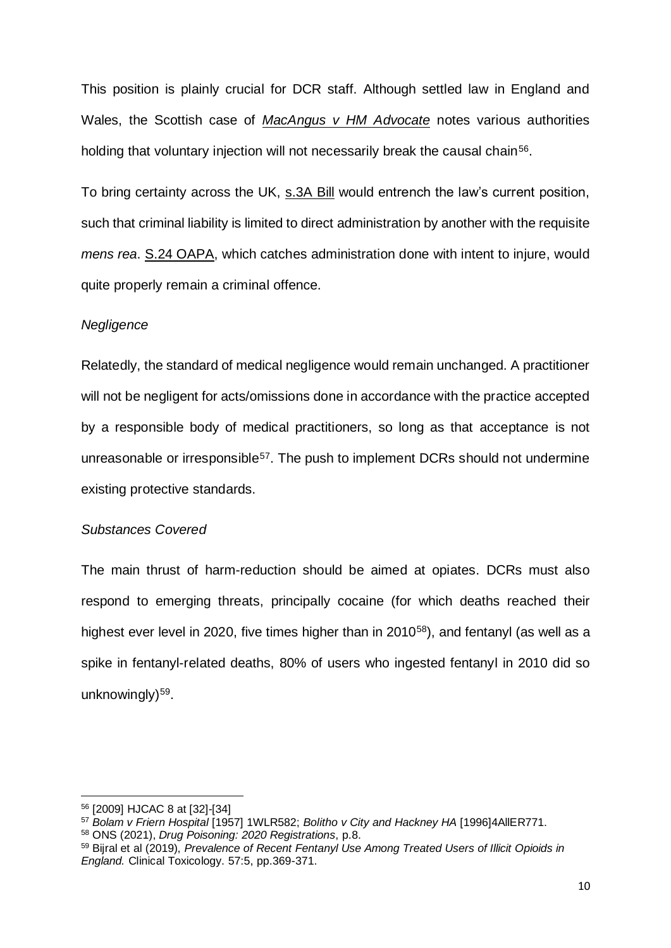This position is plainly crucial for DCR staff. Although settled law in England and Wales, the Scottish case of *MacAngus v HM Advocate* notes various authorities holding that voluntary injection will not necessarily break the causal chain<sup>56</sup>.

To bring certainty across the UK, s.3A Bill would entrench the law's current position, such that criminal liability is limited to direct administration by another with the requisite *mens rea*. S.24 OAPA, which catches administration done with intent to injure, would quite properly remain a criminal offence.

#### *Negligence*

Relatedly, the standard of medical negligence would remain unchanged. A practitioner will not be negligent for acts/omissions done in accordance with the practice accepted by a responsible body of medical practitioners, so long as that acceptance is not unreasonable or irresponsible<sup>57</sup>. The push to implement DCRs should not undermine existing protective standards.

#### *Substances Covered*

The main thrust of harm-reduction should be aimed at opiates. DCRs must also respond to emerging threats, principally cocaine (for which deaths reached their highest ever level in 2020, five times higher than in 2010<sup>58</sup>), and fentanyl (as well as a spike in fentanyl-related deaths, 80% of users who ingested fentanyl in 2010 did so unknowingly) 59 .

<sup>56</sup> [2009] HJCAC 8 at [32]-[34]

<sup>57</sup> *Bolam v Friern Hospital* [1957] 1WLR582; *Bolitho v City and Hackney HA* [1996]4AllER771.

<sup>58</sup> ONS (2021), *Drug Poisoning: 2020 Registrations*, p.8.

<sup>59</sup> Bijral et al (2019), *Prevalence of Recent Fentanyl Use Among Treated Users of Illicit Opioids in England.* Clinical Toxicology. 57:5, pp.369-371.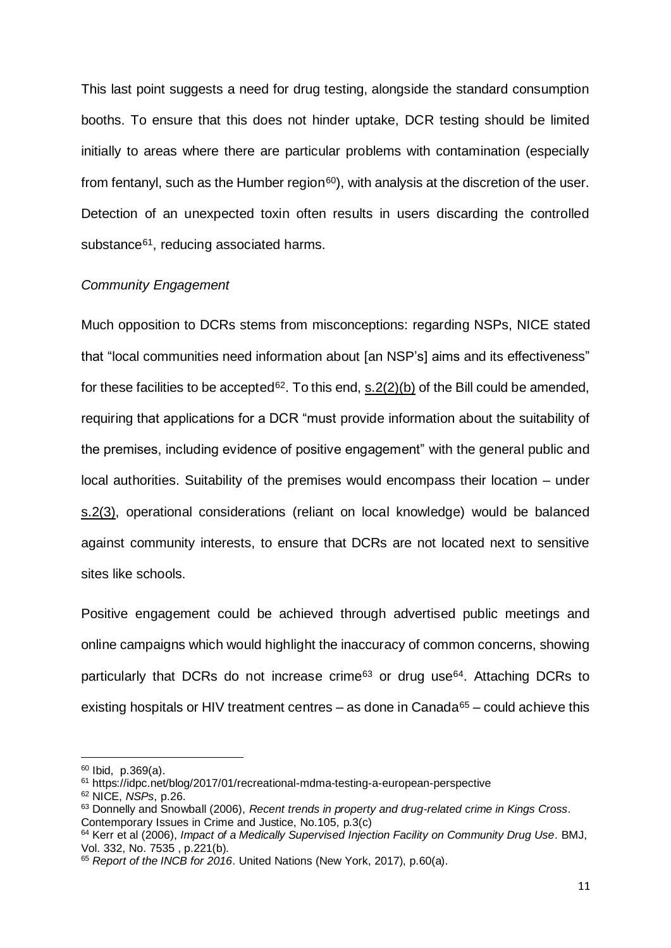This last point suggests a need for drug testing, alongside the standard consumption booths. To ensure that this does not hinder uptake, DCR testing should be limited initially to areas where there are particular problems with contamination (especially from fentanyl, such as the Humber region<sup>60</sup>), with analysis at the discretion of the user. Detection of an unexpected toxin often results in users discarding the controlled substance<sup>61</sup>, reducing associated harms.

#### *Community Engagement*

Much opposition to DCRs stems from misconceptions: regarding NSPs, NICE stated that "local communities need information about [an NSP's] aims and its effectiveness" for these facilities to be accepted<sup>62</sup>. To this end,  $s.2(2)(b)$  of the Bill could be amended, requiring that applications for a DCR "must provide information about the suitability of the premises, including evidence of positive engagement" with the general public and local authorities. Suitability of the premises would encompass their location – under s.2(3), operational considerations (reliant on local knowledge) would be balanced against community interests, to ensure that DCRs are not located next to sensitive sites like schools.

Positive engagement could be achieved through advertised public meetings and online campaigns which would highlight the inaccuracy of common concerns, showing particularly that DCRs do not increase crime<sup>63</sup> or drug use<sup>64</sup>. Attaching DCRs to existing hospitals or HIV treatment centres – as done in Canada<sup>65</sup> – could achieve this

 $60$  Ibid, p.369(a).

<sup>61</sup> https://idpc.net/blog/2017/01/recreational-mdma-testing-a-european-perspective

<sup>62</sup> NICE, *NSPs*, p.26.

<sup>63</sup> Donnelly and Snowball (2006), *Recent trends in property and drug-related crime in Kings Cross*. Contemporary Issues in Crime and Justice, No.105, p.3(c)

<sup>64</sup> Kerr et al (2006), *Impact of a Medically Supervised Injection Facility on Community Drug Use*. BMJ, Vol. 332, No. 7535 , p.221(b).

<sup>65</sup> *Report of the INCB for 2016*. United Nations (New York, 2017), p.60(a).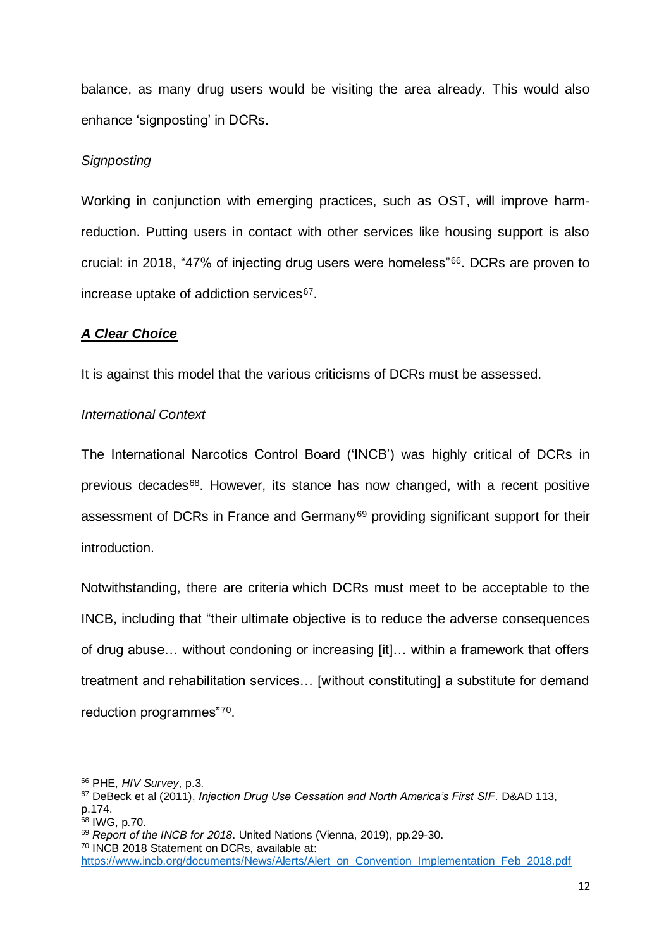balance, as many drug users would be visiting the area already. This would also enhance 'signposting' in DCRs.

# *Signposting*

Working in conjunction with emerging practices, such as OST, will improve harmreduction. Putting users in contact with other services like housing support is also crucial: in 2018, "47% of injecting drug users were homeless"<sup>66</sup> . DCRs are proven to increase uptake of addiction services<sup>67</sup>.

## *A Clear Choice*

It is against this model that the various criticisms of DCRs must be assessed.

## *International Context*

The International Narcotics Control Board ('INCB') was highly critical of DCRs in previous decades<sup>68</sup>. However, its stance has now changed, with a recent positive assessment of DCRs in France and Germany<sup>69</sup> providing significant support for their introduction.

Notwithstanding, there are criteria which DCRs must meet to be acceptable to the INCB, including that "their ultimate objective is to reduce the adverse consequences of drug abuse… without condoning or increasing [it]… within a framework that offers treatment and rehabilitation services… [without constituting] a substitute for demand reduction programmes"70.

<sup>66</sup> PHE, *HIV Survey*, p.3.

<sup>67</sup> DeBeck et al (2011), *Injection Drug Use Cessation and North America's First SIF*. D&AD 113, p.174.

<sup>&</sup>lt;sup>68</sup> IWG, p.70.

<sup>69</sup> *Report of the INCB for 2018*. United Nations (Vienna, 2019), pp.29-30.

<sup>70</sup> INCB 2018 Statement on DCRs, available at:

[https://www.incb.org/documents/News/Alerts/Alert\\_on\\_Convention\\_Implementation\\_Feb\\_2018.pdf](https://www.incb.org/documents/News/Alerts/Alert_on_Convention_Implementation_Feb_2018.pdf)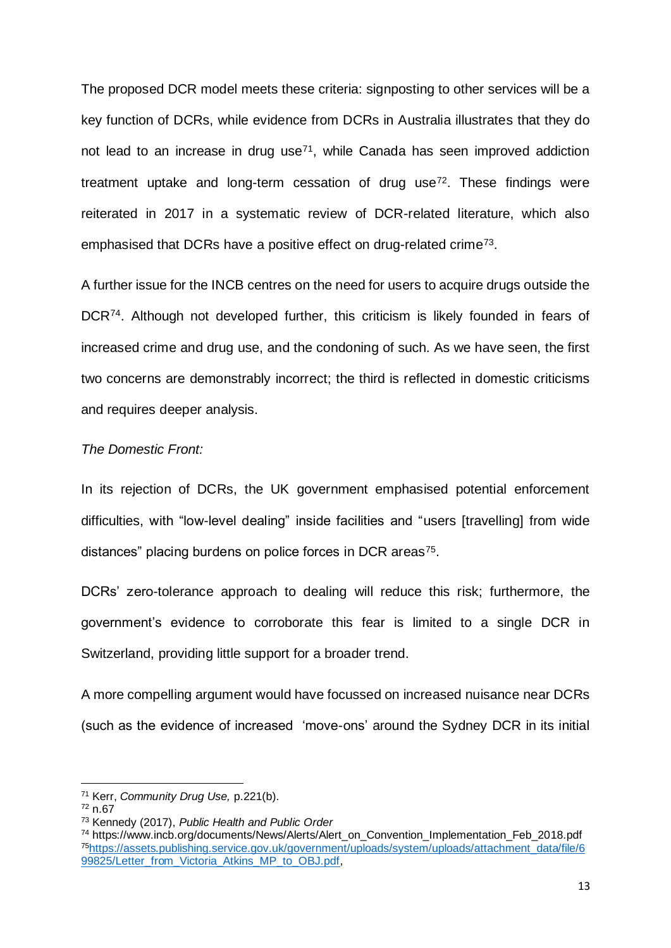The proposed DCR model meets these criteria: signposting to other services will be a key function of DCRs, while evidence from DCRs in Australia illustrates that they do not lead to an increase in drug use<sup> $71$ </sup>, while Canada has seen improved addiction treatment uptake and long-term cessation of drug use<sup>72</sup>. These findings were reiterated in 2017 in a systematic review of DCR-related literature, which also emphasised that DCRs have a positive effect on drug-related crime<sup>73</sup>.

A further issue for the INCB centres on the need for users to acquire drugs outside the DCR<sup>74</sup>. Although not developed further, this criticism is likely founded in fears of increased crime and drug use, and the condoning of such. As we have seen, the first two concerns are demonstrably incorrect; the third is reflected in domestic criticisms and requires deeper analysis.

### *The Domestic Front:*

In its rejection of DCRs, the UK government emphasised potential enforcement difficulties, with "low-level dealing" inside facilities and "users [travelling] from wide distances" placing burdens on police forces in DCR areas<sup>75</sup>.

DCRs' zero-tolerance approach to dealing will reduce this risk; furthermore, the government's evidence to corroborate this fear is limited to a single DCR in Switzerland, providing little support for a broader trend.

A more compelling argument would have focussed on increased nuisance near DCRs (such as the evidence of increased 'move-ons' around the Sydney DCR in its initial

<sup>71</sup> Kerr, *Community Drug Use,* p.221(b).

<sup>72</sup> n.67

<sup>73</sup> Kennedy (2017), *Public Health and Public Order*

<sup>&</sup>lt;sup>74</sup> https://www.incb.org/documents/News/Alerts/Alert\_on\_Convention\_Implementation\_Feb\_2018.pdf <sup>75</sup>[https://assets.publishing.service.gov.uk/government/uploads/system/uploads/attachment\\_data/file/6](https://assets.publishing.service.gov.uk/government/uploads/system/uploads/attachment_data/file/699825/Letter_from_Victoria_Atkins_MP_to_OBJ.pdf) [99825/Letter\\_from\\_Victoria\\_Atkins\\_MP\\_to\\_OBJ.pdf,](https://assets.publishing.service.gov.uk/government/uploads/system/uploads/attachment_data/file/699825/Letter_from_Victoria_Atkins_MP_to_OBJ.pdf)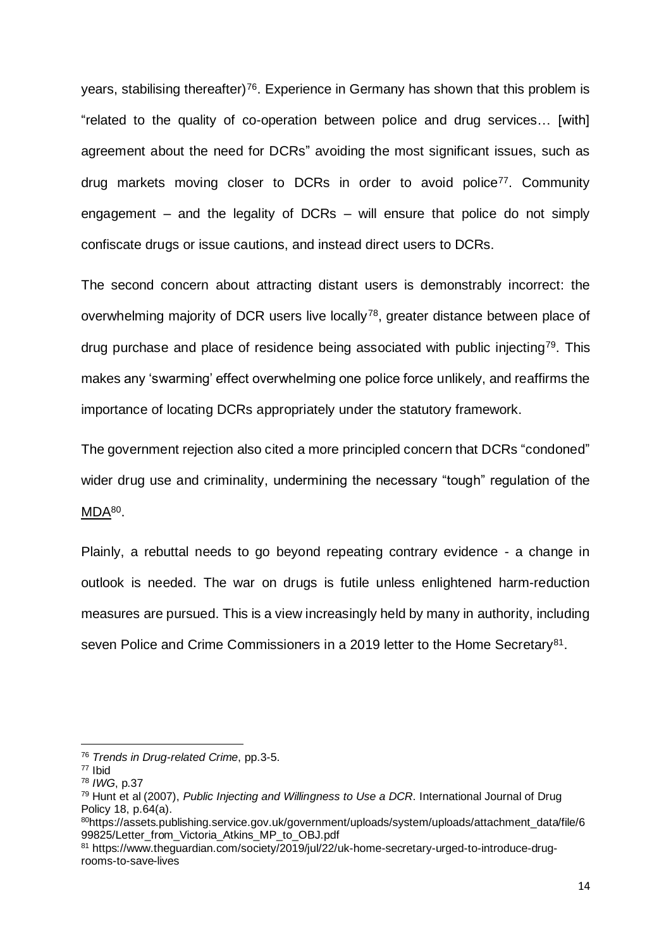years, stabilising thereafter)<sup>76</sup>. Experience in Germany has shown that this problem is "related to the quality of co-operation between police and drug services… [with] agreement about the need for DCRs" avoiding the most significant issues, such as drug markets moving closer to DCRs in order to avoid police<sup>77</sup>. Community engagement – and the legality of DCRs – will ensure that police do not simply confiscate drugs or issue cautions, and instead direct users to DCRs.

The second concern about attracting distant users is demonstrably incorrect: the overwhelming majority of DCR users live locally<sup>78</sup>, greater distance between place of drug purchase and place of residence being associated with public injecting<sup>79</sup>. This makes any 'swarming' effect overwhelming one police force unlikely, and reaffirms the importance of locating DCRs appropriately under the statutory framework.

The government rejection also cited a more principled concern that DCRs "condoned" wider drug use and criminality, undermining the necessary "tough" regulation of the MDA<sup>80</sup>.

Plainly, a rebuttal needs to go beyond repeating contrary evidence - a change in outlook is needed. The war on drugs is futile unless enlightened harm-reduction measures are pursued. This is a view increasingly held by many in authority, including seven Police and Crime Commissioners in a 2019 letter to the Home Secretary<sup>81</sup>.

<sup>76</sup> *Trends in Drug-related Crime*, pp.3-5.

<sup>77</sup> Ibid

<sup>78</sup> *IWG*, p.37

<sup>79</sup> Hunt et al (2007), *Public Injecting and Willingness to Use a DCR*. International Journal of Drug Policy 18, p.64(a).

<sup>80</sup>https://assets.publishing.service.gov.uk/government/uploads/system/uploads/attachment\_data/file/6 99825/Letter\_from\_Victoria\_Atkins\_MP\_to\_OBJ.pdf

<sup>81</sup> https://www.theguardian.com/society/2019/jul/22/uk-home-secretary-urged-to-introduce-drugrooms-to-save-lives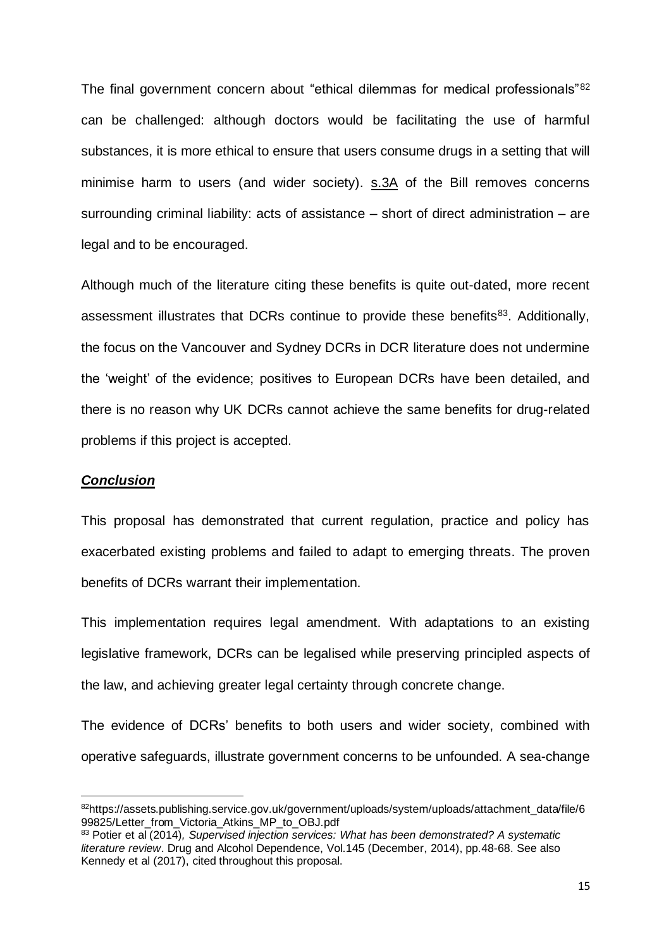The final government concern about "ethical dilemmas for medical professionals"<sup>82</sup> can be challenged: although doctors would be facilitating the use of harmful substances, it is more ethical to ensure that users consume drugs in a setting that will minimise harm to users (and wider society). s.3A of the Bill removes concerns surrounding criminal liability: acts of assistance – short of direct administration – are legal and to be encouraged.

Although much of the literature citing these benefits is quite out-dated, more recent assessment illustrates that DCRs continue to provide these benefits<sup>83</sup>. Additionally, the focus on the Vancouver and Sydney DCRs in DCR literature does not undermine the 'weight' of the evidence; positives to European DCRs have been detailed, and there is no reason why UK DCRs cannot achieve the same benefits for drug-related problems if this project is accepted.

#### *Conclusion*

This proposal has demonstrated that current regulation, practice and policy has exacerbated existing problems and failed to adapt to emerging threats. The proven benefits of DCRs warrant their implementation.

This implementation requires legal amendment. With adaptations to an existing legislative framework, DCRs can be legalised while preserving principled aspects of the law, and achieving greater legal certainty through concrete change.

The evidence of DCRs' benefits to both users and wider society, combined with operative safeguards, illustrate government concerns to be unfounded. A sea-change

<sup>82</sup>https://assets.publishing.service.gov.uk/government/uploads/system/uploads/attachment\_data/file/6 99825/Letter\_from\_Victoria\_Atkins\_MP\_to\_OBJ.pdf

<sup>83</sup> Potier et al (2014)*, Supervised injection services: What has been demonstrated? A systematic literature review*. Drug and Alcohol Dependence, Vol.145 (December, 2014), pp.48-68. See also Kennedy et al (2017), cited throughout this proposal.